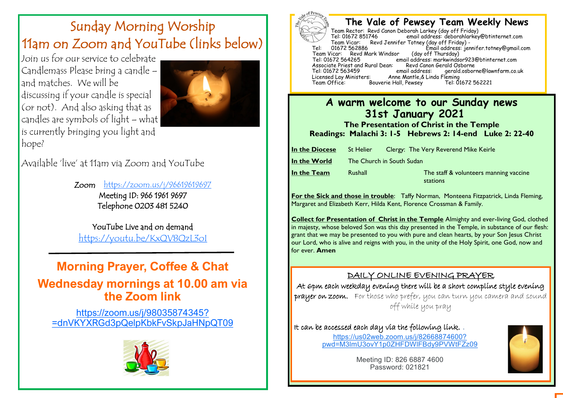# Sunday Morning Worship 11am on Zoom and YouTube (links below)

Join us for our service to celebrate Candlemass Please bring a candle – and matches. We will be discussing if your candle is special (or not). And also asking that as candles are symbols of light – what is currently bringing you light and hope?



Available 'live' at 11am via Zoom and YouTube

Zoom <https://zoom.us/j/96619619697> Meeting ID: 966 1961 9697 Telephone 0203 481 5240

YouTube Live and on demand <https://youtu.be/KxQV8QzL3oI>

## **Morning Prayer, Coffee & Chat Wednesday mornings at 10.00 am via the Zoom link**

[https://zoom.us/j/98035874345?](https://zoom.us/j/98035874345?pwd=dnVKYXRGd3pQelpKbkFvSkpJaHNpQT09) [=dnVKYXRGd3pQelpKbkFvSkpJaHNpQT09](https://zoom.us/j/98035874345?pwd=dnVKYXRGd3pQelpKbkFvSkpJaHNpQT09)





## **The Vale of Pewsey Team Weekly News**

Team Rector: Revd Canon Deborah Larkey (day off Friday) email address: deborahlarkey@btinternet.com Team Vicar: Revd Jennifer Totney (day off Friday) -<br>01672 562886 Fmail address: ier fimail address: jennifer.totney@gmail.com (day off Thursday) Team Vicar: Revd Mark Windsor<br>Tel: 01672 564265 email address: markwindsor923@btinternet.com<br>Revd Canon Gerald Osborne Associate Priest and Rural Dean: Revd Canon<br>Tel: 01672 563459 email address: Tel: 01672 563459 email address: gerald.osborne@lawnfarm.co.uk Licensed Lay Ministers: Anne Mantle,& Linda Fleming Bouverie Hall, Pewsey

### **A warm welcome to our Sunday news 31st January 2021**

**The Presentation of Christ in the Temple Readings: Malachi 3: 1-5 Hebrews 2: 14-end Luke 2: 22-40** 

| In the Diocese | St Helier                 | Clergy: The Very Reverend Mike Keirle              |
|----------------|---------------------------|----------------------------------------------------|
| In the World   | The Church in South Sudan |                                                    |
| In the Team    | Rushall                   | The staff & volunteers manning vaccine<br>stations |

**For the Sick and those in trouble**: Taffy Norman, Monteena Fitzpatrick, Linda Fleming, Margaret and Elizabeth Kerr, Hilda Kent, Florence Crossman & Family.

**Collect for Presentation of Christ in the Temple** Almighty and ever-living God, clothed in majesty, whose beloved Son was this day presented in the Temple, in substance of our flesh: grant that we may be presented to you with pure and clean hearts, by your Son Jesus Christ our Lord, who is alive and reigns with you, in the unity of the Holy Spirit, one God, now and for ever. **Amen** 

#### DAILY ONLINE EVENING PRAYER

At 6pm each weekday evening there will be a short compline style evening prayer on zoom. For those who prefer, you can turn you camera and sound off while you pray

It can be accessed each day via the following link. . [https://us02web.zoom.us/j/82668874600?](https://www.google.com/url?q=https://us02web.zoom.us/j/82668874600?pwd%3DM3lmU3ovY1p0ZHFDWlFBdy9PVWtFZz09&sa=D&source=calendar&usd=2&usg=AOvVaw0-YzOdo85lSoeXZaL_AnTq) [pwd=M3lmU3ovY1p0ZHFDWlFBdy9PVWtFZz09](https://www.google.com/url?q=https://us02web.zoom.us/j/82668874600?pwd%3DM3lmU3ovY1p0ZHFDWlFBdy9PVWtFZz09&sa=D&source=calendar&usd=2&usg=AOvVaw0-YzOdo85lSoeXZaL_AnTq)



Meeting ID: 826 6887 4600 Password: 021821